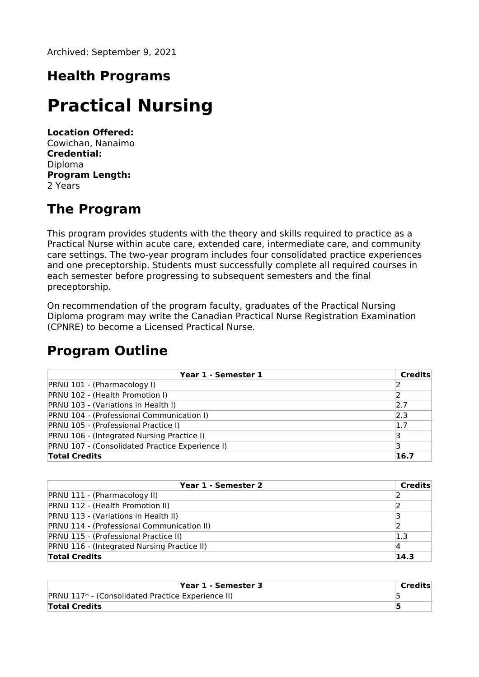Archived: September 9, 2021

# **Health Programs**

# **Practical Nursing**

**Location Offered:** Cowichan, Nanaimo **Credential:** Diploma **Program Length:** 2 Years

## **The Program**

This program provides students with the theory and skills required to practice as a Practical Nurse within acute care, extended care, intermediate care, and community care settings. The two-year program includes four consolidated practice experiences and one preceptorship. Students must successfully complete all required courses in each semester before progressing to subsequent semesters and the final preceptorship.

On recommendation of the program faculty, graduates of the Practical Nursing Diploma program may write the Canadian Practical Nurse Registration Examination (CPNRE) to become a Licensed Practical Nurse.

### **Program Outline**

| Year 1 - Semester 1                               | Credits |
|---------------------------------------------------|---------|
| PRNU 101 - (Pharmacology I)                       |         |
| PRNU 102 - (Health Promotion I)                   |         |
| PRNU 103 - (Variations in Health I)               | 2.7     |
| PRNU 104 - (Professional Communication I)         | 2.3     |
| PRNU 105 - (Professional Practice I)              | 1.7     |
| <b>PRNU 106 - (Integrated Nursing Practice I)</b> |         |
| PRNU 107 - (Consolidated Practice Experience I)   |         |
| <b>Total Credits</b>                              | 16.7    |

| Year 1 - Semester 2                         | Credits |
|---------------------------------------------|---------|
| <b>PRNU 111 - (Pharmacology II)</b>         |         |
| PRNU 112 - (Health Promotion II)            |         |
| PRNU 113 - (Variations in Health II)        |         |
| PRNU 114 - (Professional Communication II)  |         |
| PRNU 115 - (Professional Practice II)       | $1.3\,$ |
| PRNU 116 - (Integrated Nursing Practice II) |         |
| <b>Total Credits</b>                        | 14.3    |

| Year 1 - Semester 3                               | Credits |
|---------------------------------------------------|---------|
| PRNU 117* - (Consolidated Practice Experience II) |         |
| <b>Total Credits</b>                              |         |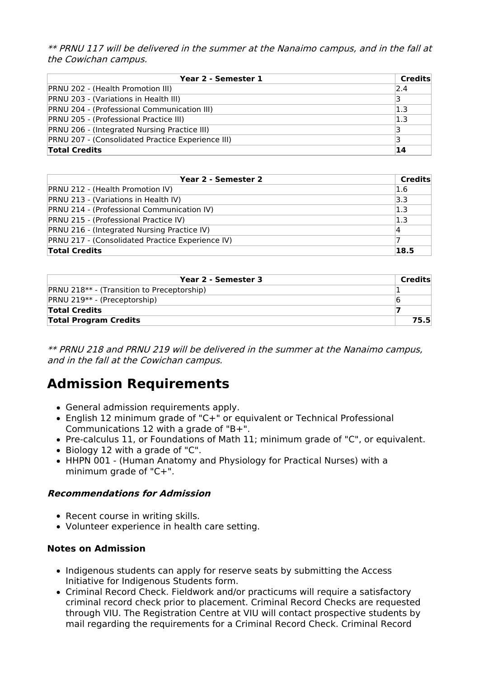\*\* PRNU 117 will be delivered in the summer at the Nanaimo campus, and in the fall at the Cowichan campus.

| Year 2 - Semester 1                                 | Credits |
|-----------------------------------------------------|---------|
| <b>PRNU 202 - (Health Promotion III)</b>            | 2.4     |
| PRNU 203 - (Variations in Health III)               | 13      |
| PRNU 204 - (Professional Communication III)         | 1.3     |
| <b>PRNU 205 - (Professional Practice III)</b>       | 1.3     |
| <b>PRNU 206 - (Integrated Nursing Practice III)</b> | ₹       |
| PRNU 207 - (Consolidated Practice Experience III)   | ₹       |
| <b>Total Credits</b>                                | 14      |

| Year 2 - Semester 2                              | <b>Credits</b> |
|--------------------------------------------------|----------------|
| <b>PRNU 212 - (Health Promotion IV)</b>          | 1.6            |
| PRNU 213 - (Variations in Health IV)             | 3.3            |
| PRNU 214 - (Professional Communication IV)       | 1.3            |
| <b>PRNU 215 - (Professional Practice IV)</b>     | 1.3            |
| PRNU 216 - (Integrated Nursing Practice IV)      | 14             |
| PRNU 217 - (Consolidated Practice Experience IV) |                |
| <b>Total Credits</b>                             | 18.5           |

| Year 2 - Semester 3                          | Credits |
|----------------------------------------------|---------|
| $PRNU 218**$ - (Transition to Preceptorship) |         |
| <b>PRNU 219** - (Preceptorship)</b>          | b       |
| <b>Total Credits</b>                         |         |
| <b>Total Program Credits</b>                 | 75.5    |

\*\* PRNU 218 and PRNU 219 will be delivered in the summer at the Nanaimo campus, and in the fall at the Cowichan campus.

# **Admission Requirements**

- General admission requirements apply.
- English 12 minimum grade of "C+" or equivalent or Technical Professional Communications 12 with a grade of "B+".
- Pre-calculus 11, or Foundations of Math 11; minimum grade of "C", or equivalent.
- Biology 12 with a grade of "C".
- HHPN 001 (Human Anatomy and Physiology for Practical Nurses) with a minimum grade of "C+".

#### **Recommendations for Admission**

- Recent course in writing skills.
- Volunteer experience in health care setting.

#### **Notes on Admission**

- Indigenous students can apply for reserve seats by submitting the Access Initiative for Indigenous Students form.
- Criminal Record Check. Fieldwork and/or practicums will require a satisfactory criminal record check prior to placement. Criminal Record Checks are requested through VIU. The Registration Centre at VIU will contact prospective students by mail regarding the requirements for a Criminal Record Check. Criminal Record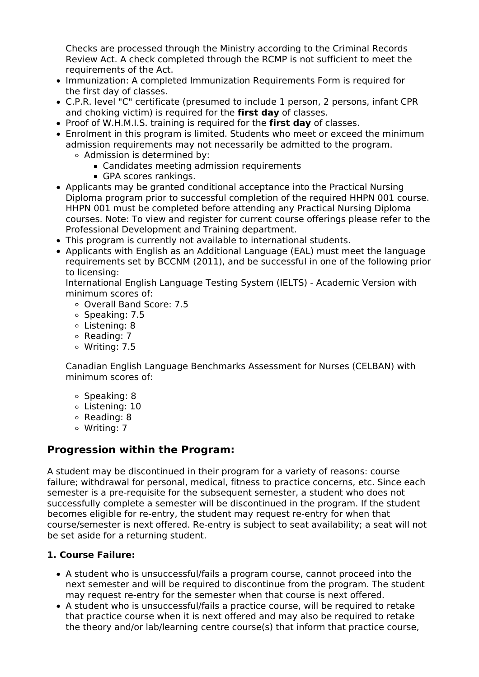Checks are processed through the Ministry according to the Criminal Records Review Act. A check completed through the RCMP is not sufficient to meet the requirements of the Act.

- Immunization: A completed Immunization Requirements Form is required for the first day of classes.
- C.P.R. level "C" certificate (presumed to include 1 person, 2 persons, infant CPR and choking victim) is required for the **first day** of classes.
- Proof of W.H.M.I.S. training is required for the **first day** of classes.
- Enrolment in this program is limited. Students who meet or exceed the minimum admission requirements may not necessarily be admitted to the program. Admission is determined by:
	- Candidates meeting admission requirements
	- GPA scores rankings.
- Applicants may be granted conditional acceptance into the Practical Nursing Diploma program prior to successful completion of the required HHPN 001 course. HHPN 001 must be completed before attending any Practical Nursing Diploma courses. Note: To view and register for current course offerings please refer to the Professional Development and Training department.
- This program is currently not available to international students.
- Applicants with English as an Additional Language (EAL) must meet the language requirements set by BCCNM (2011), and be successful in one of the following prior to licensing:

International English Language Testing System (IELTS) - Academic Version with minimum scores of:

- Overall Band Score: 7.5
- o Speaking: 7.5
- Listening: 8
- $\circ$  Reading: 7
- Writing: 7.5

Canadian English Language Benchmarks Assessment for Nurses (CELBAN) with minimum scores of:

- o Speaking: 8
- Listening: 10
- Reading: 8
- Writing: 7

### **Progression within the Program:**

A student may be discontinued in their program for a variety of reasons: course failure; withdrawal for personal, medical, fitness to practice concerns, etc. Since each semester is a pre-requisite for the subsequent semester, a student who does not successfully complete a semester will be discontinued in the program. If the student becomes eligible for re-entry, the student may request re-entry for when that course/semester is next offered. Re-entry is subject to seat availability; a seat will not be set aside for a returning student.

#### **1. Course Failure:**

- A student who is unsuccessful/fails a program course, cannot proceed into the next semester and will be required to discontinue from the program. The student may request re-entry for the semester when that course is next offered.
- A student who is unsuccessful/fails a practice course, will be required to retake that practice course when it is next offered and may also be required to retake the theory and/or lab/learning centre course(s) that inform that practice course,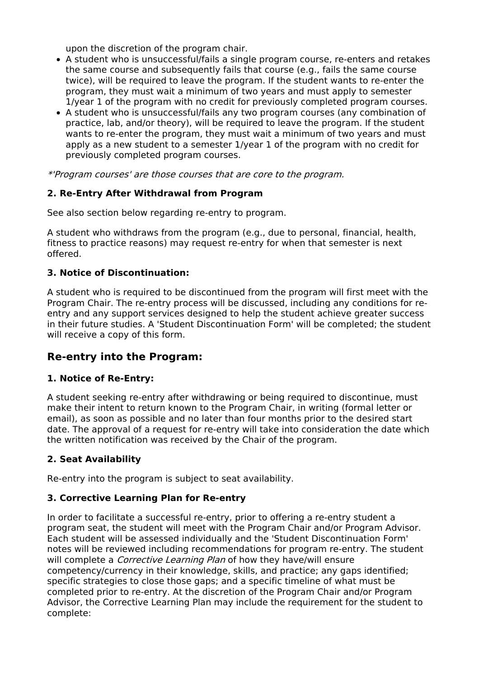upon the discretion of the program chair.

- A student who is unsuccessful/fails a single program course, re-enters and retakes the same course and subsequently fails that course (e.g., fails the same course twice), will be required to leave the program. If the student wants to re-enter the program, they must wait a minimum of two years and must apply to semester 1/year 1 of the program with no credit for previously completed program courses.
- A student who is unsuccessful/fails any two program courses (any combination of practice, lab, and/or theory), will be required to leave the program. If the student wants to re-enter the program, they must wait a minimum of two years and must apply as a new student to a semester 1/year 1 of the program with no credit for previously completed program courses.

\*'Program courses' are those courses that are core to the program.

#### **2. Re-Entry After Withdrawal from Program**

See also section below regarding re-entry to program.

A student who withdraws from the program (e.g., due to personal, financial, health, fitness to practice reasons) may request re-entry for when that semester is next offered.

#### **3. Notice of Discontinuation:**

A student who is required to be discontinued from the program will first meet with the Program Chair. The re-entry process will be discussed, including any conditions for reentry and any support services designed to help the student achieve greater success in their future studies. A 'Student Discontinuation Form' will be completed; the student will receive a copy of this form.

### **Re-entry into the Program:**

#### **1. Notice of Re-Entry:**

A student seeking re-entry after withdrawing or being required to discontinue, must make their intent to return known to the Program Chair, in writing (formal letter or email), as soon as possible and no later than four months prior to the desired start date. The approval of a request for re-entry will take into consideration the date which the written notification was received by the Chair of the program.

#### **2. Seat Availability**

Re-entry into the program is subject to seat availability.

#### **3. Corrective Learning Plan for Re-entry**

In order to facilitate a successful re-entry, prior to offering a re-entry student a program seat, the student will meet with the Program Chair and/or Program Advisor. Each student will be assessed individually and the 'Student Discontinuation Form' notes will be reviewed including recommendations for program re-entry. The student will complete a *Corrective Learning Plan* of how they have/will ensure competency/currency in their knowledge, skills, and practice; any gaps identified; specific strategies to close those gaps; and a specific timeline of what must be completed prior to re-entry. At the discretion of the Program Chair and/or Program Advisor, the Corrective Learning Plan may include the requirement for the student to complete: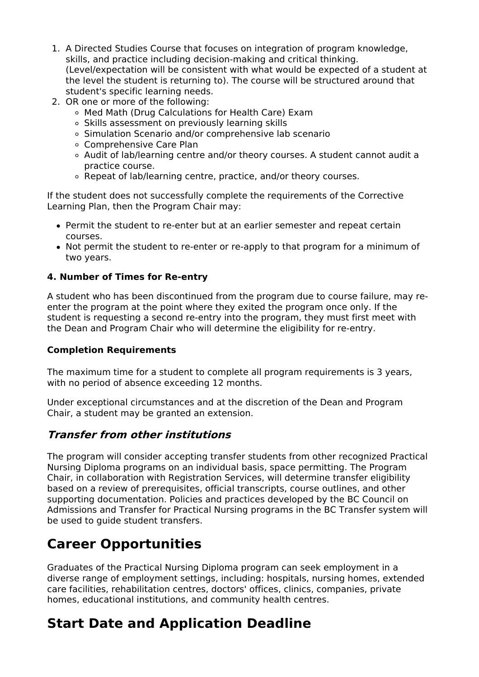- 1. A Directed Studies Course that focuses on integration of program knowledge, skills, and practice including decision-making and critical thinking. (Level/expectation will be consistent with what would be expected of a student at the level the student is returning to). The course will be structured around that student's specific learning needs.
- 2. OR one or more of the following:
	- Med Math (Drug Calculations for Health Care) Exam
	- o Skills assessment on previously learning skills
	- o Simulation Scenario and/or comprehensive lab scenario
	- Comprehensive Care Plan
	- Audit of lab/learning centre and/or theory courses. A student cannot audit a practice course.
	- Repeat of lab/learning centre, practice, and/or theory courses.

If the student does not successfully complete the requirements of the Corrective Learning Plan, then the Program Chair may:

- Permit the student to re-enter but at an earlier semester and repeat certain courses.
- Not permit the student to re-enter or re-apply to that program for a minimum of two years.

#### **4. Number of Times for Re-entry**

A student who has been discontinued from the program due to course failure, may reenter the program at the point where they exited the program once only. If the student is requesting a second re-entry into the program, they must first meet with the Dean and Program Chair who will determine the eligibility for re-entry.

#### **Completion Requirements**

The maximum time for a student to complete all program requirements is 3 years, with no period of absence exceeding 12 months.

Under exceptional circumstances and at the discretion of the Dean and Program Chair, a student may be granted an extension.

### **Transfer from other institutions**

The program will consider accepting transfer students from other recognized Practical Nursing Diploma programs on an individual basis, space permitting. The Program Chair, in collaboration with Registration Services, will determine transfer eligibility based on a review of prerequisites, official transcripts, course outlines, and other supporting documentation. Policies and practices developed by the BC Council on Admissions and Transfer for Practical Nursing programs in the BC Transfer system will be used to guide student transfers.

## **Career Opportunities**

Graduates of the Practical Nursing Diploma program can seek employment in a diverse range of employment settings, including: hospitals, nursing homes, extended care facilities, rehabilitation centres, doctors' offices, clinics, companies, private homes, educational institutions, and community health centres.

## **Start Date and Application Deadline**